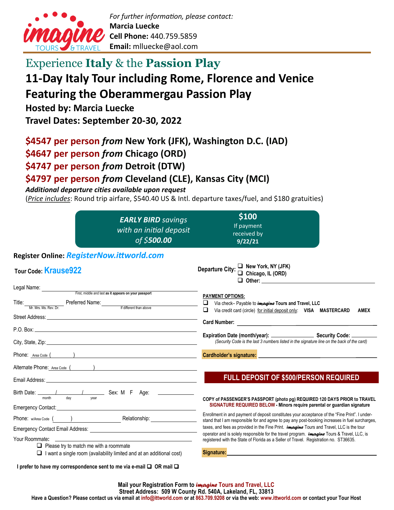

## Experience **Italy** & the **Passion Play**

# **11-Day Italy Tour including Rome, Florence and Venice**

## **Featuring the Oberammergau Passion Play**

**Hosted by: Marcia Luecke**

**Travel Dates: September 20-30, 2022**

## **\$4547 per person** *from* **New York (JFK), Washington D.C. (IAD)**

**\$4647 per person** *from* **Chicago (ORD)**

**\$4747 per person** *from* **Detroit (DTW)**

## **\$4797 per person** *from* **Cleveland (CLE), Kansas City (MCI)**

#### *Additional departure cities available upon request*

(*Price includes*: Round trip airfare, \$540.40 US & Intl. departure taxes/fuel, and \$180 gratuities)

|                                                                                                                                                                                                                                                                                                    | <b>EARLY BIRD</b> savings<br>with an initial deposit<br>of \$500.00                                                                                                                                                           | \$100<br>If payment<br>received by<br>9/22/21                                                                                                                                                     |  |
|----------------------------------------------------------------------------------------------------------------------------------------------------------------------------------------------------------------------------------------------------------------------------------------------------|-------------------------------------------------------------------------------------------------------------------------------------------------------------------------------------------------------------------------------|---------------------------------------------------------------------------------------------------------------------------------------------------------------------------------------------------|--|
| Register Online: RegisterNow.ittworld.com                                                                                                                                                                                                                                                          |                                                                                                                                                                                                                               |                                                                                                                                                                                                   |  |
| <b>Tour Code Krause922</b>                                                                                                                                                                                                                                                                         |                                                                                                                                                                                                                               | Departure City: $\Box$ New York, NY (JFK)<br>$\Box$ Chicago, IL (ORD)<br>$\Box$ Other:                                                                                                            |  |
| Legal Name: First, middle and last as it appears on your passport                                                                                                                                                                                                                                  |                                                                                                                                                                                                                               |                                                                                                                                                                                                   |  |
| Title: <u>Mr. Mrs. Ms. Rev. Dr. Preferred Name: Kitaliferent than above</u>                                                                                                                                                                                                                        |                                                                                                                                                                                                                               | <b>PAYMENT OPTIONS:</b><br>Via check- Payable to <i>imagine</i> Tours and Travel, LLC<br>Via credit card (circle) for initial deposit only: VISA MASTERCARD<br><b>AMEX</b>                        |  |
|                                                                                                                                                                                                                                                                                                    |                                                                                                                                                                                                                               |                                                                                                                                                                                                   |  |
| P.O. Box: <b>Example 2018</b>                                                                                                                                                                                                                                                                      |                                                                                                                                                                                                                               | Expiration Date (month/year): Security Code: _____                                                                                                                                                |  |
|                                                                                                                                                                                                                                                                                                    |                                                                                                                                                                                                                               | (Security Code is the last 3 numbers listed in the signature line on the back of the card)                                                                                                        |  |
| Phone: Area Code ( )                                                                                                                                                                                                                                                                               |                                                                                                                                                                                                                               | Cardholder's signature: University of the Cardholder's signature:                                                                                                                                 |  |
|                                                                                                                                                                                                                                                                                                    | Alternate Phone: Area Code ()                                                                                                                                                                                                 |                                                                                                                                                                                                   |  |
| Email Address: <u>Communication</u> Communication of the Communication Communication Communication Communication                                                                                                                                                                                   |                                                                                                                                                                                                                               | <b>FULL DEPOSIT OF \$500/PERSON REQUIRED</b>                                                                                                                                                      |  |
| Birth Date: 1 1 1 1 2 3ex: M F Age:<br>dav<br>month<br>vear<br>Emergency Contact: <u>contact:</u> contact: contact: contact: contact: contact: contact: contact: contact: contact: contact: contact: contact: contact: contact: contact: contact: contact: contact: contact: contact: contact: con |                                                                                                                                                                                                                               | COPY of PASSENGER'S PASSPORT (photo pg) REQUIRED 120 DAYS PRIOR to TRAVEL<br>SIGNATURE REQUIRED BELOW - Minors require parental or guardian signature                                             |  |
|                                                                                                                                                                                                                                                                                                    | Relationship: ___________________                                                                                                                                                                                             | Enrollment in and payment of deposit constitutes your acceptance of the "Fine Print". I under-<br>stand that I am responsible for and agree to pay any post-booking increases in fuel surcharges, |  |
|                                                                                                                                                                                                                                                                                                    |                                                                                                                                                                                                                               | taxes, and fees as provided in the Fine Print. <i>imagine</i> Tours and Travel, LLC is the tour                                                                                                   |  |
|                                                                                                                                                                                                                                                                                                    | Your Roommate: New York State State State State State State State State State State State State State State State State State State State State State State State State State State State State State State State State State | operator and is solely responsible for the travel program. <i>imagine</i> Tours & Travel, LLC, is<br>registered with the State of Florida as a Seller of Travel. Registration no. ST36635.        |  |
| $\Box$ Please try to match me with a roommate                                                                                                                                                                                                                                                      | $\Box$ I want a single room (availability limited and at an additional cost)                                                                                                                                                  | Signature:                                                                                                                                                                                        |  |
| I prefer to have my correspondence sent to me via e-mail $\Box$ OR mail $\Box$                                                                                                                                                                                                                     |                                                                                                                                                                                                                               |                                                                                                                                                                                                   |  |